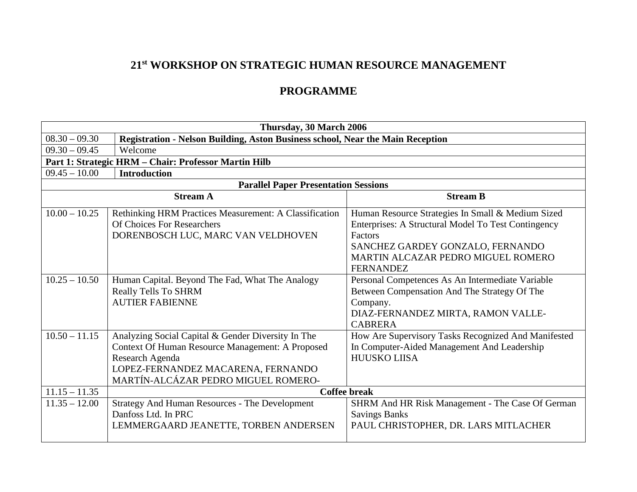## **21st WORKSHOP ON STRATEGIC HUMAN RESOURCE MANAGEMENT**

## **PROGRAMME**

| Thursday, 30 March 2006                              |                                                                                |                                                     |  |
|------------------------------------------------------|--------------------------------------------------------------------------------|-----------------------------------------------------|--|
| $08.30 - 09.30$                                      | Registration - Nelson Building, Aston Business school, Near the Main Reception |                                                     |  |
| $09.30 - 09.45$                                      | Welcome                                                                        |                                                     |  |
| Part 1: Strategic HRM - Chair: Professor Martin Hilb |                                                                                |                                                     |  |
| $09.45 - 10.00$                                      | <b>Introduction</b>                                                            |                                                     |  |
| <b>Parallel Paper Presentation Sessions</b>          |                                                                                |                                                     |  |
| <b>Stream A</b>                                      |                                                                                | <b>Stream B</b>                                     |  |
| $10.00 - 10.25$                                      | Rethinking HRM Practices Measurement: A Classification                         | Human Resource Strategies In Small & Medium Sized   |  |
|                                                      | <b>Of Choices For Researchers</b>                                              | Enterprises: A Structural Model To Test Contingency |  |
|                                                      | DORENBOSCH LUC, MARC VAN VELDHOVEN                                             | Factors                                             |  |
|                                                      |                                                                                | SANCHEZ GARDEY GONZALO, FERNANDO                    |  |
|                                                      |                                                                                | MARTIN ALCAZAR PEDRO MIGUEL ROMERO                  |  |
|                                                      |                                                                                | <b>FERNANDEZ</b>                                    |  |
| $10.25 - 10.50$                                      | Human Capital. Beyond The Fad, What The Analogy                                | Personal Competences As An Intermediate Variable    |  |
|                                                      | Really Tells To SHRM                                                           | Between Compensation And The Strategy Of The        |  |
|                                                      | <b>AUTIER FABIENNE</b>                                                         | Company.                                            |  |
|                                                      |                                                                                | DIAZ-FERNANDEZ MIRTA, RAMON VALLE-                  |  |
|                                                      |                                                                                | <b>CABRERA</b>                                      |  |
| $10.50 - 11.15$                                      | Analyzing Social Capital & Gender Diversity In The                             | How Are Supervisory Tasks Recognized And Manifested |  |
|                                                      | Context Of Human Resource Management: A Proposed                               | In Computer-Aided Management And Leadership         |  |
|                                                      | Research Agenda                                                                | <b>HUUSKO LIISA</b>                                 |  |
|                                                      | LOPEZ-FERNANDEZ MACARENA, FERNANDO                                             |                                                     |  |
|                                                      | MARTÍN-ALCÁZAR PEDRO MIGUEL ROMERO-                                            |                                                     |  |
| $11.15 - 11.35$                                      |                                                                                | <b>Coffee break</b>                                 |  |
| $11.35 - 12.00$                                      | <b>Strategy And Human Resources - The Development</b>                          | SHRM And HR Risk Management - The Case Of German    |  |
|                                                      | Danfoss Ltd. In PRC                                                            | <b>Savings Banks</b>                                |  |
|                                                      | LEMMERGAARD JEANETTE, TORBEN ANDERSEN                                          | PAUL CHRISTOPHER, DR. LARS MITLACHER                |  |
|                                                      |                                                                                |                                                     |  |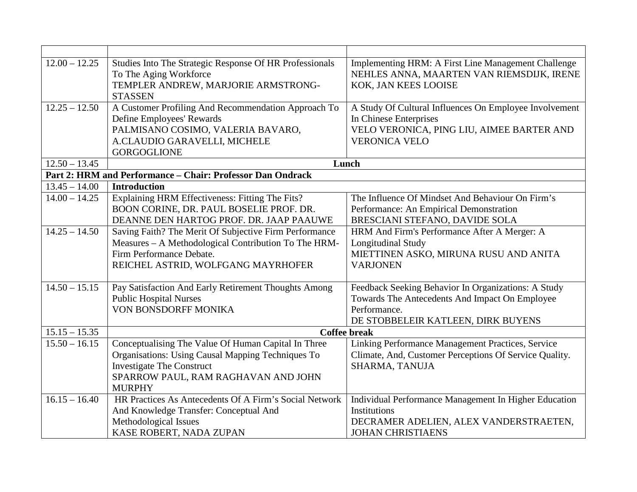| $12.00 - 12.25$ | Studies Into The Strategic Response Of HR Professionals    | Implementing HRM: A First Line Management Challenge            |
|-----------------|------------------------------------------------------------|----------------------------------------------------------------|
|                 | To The Aging Workforce                                     | NEHLES ANNA, MAARTEN VAN RIEMSDIJK, IRENE                      |
|                 | TEMPLER ANDREW, MARJORIE ARMSTRONG-                        | KOK, JAN KEES LOOISE                                           |
|                 | <b>STASSEN</b>                                             |                                                                |
| $12.25 - 12.50$ | A Customer Profiling And Recommendation Approach To        | A Study Of Cultural Influences On Employee Involvement         |
|                 | Define Employees' Rewards                                  | In Chinese Enterprises                                         |
|                 | PALMISANO COSIMO, VALERIA BAVARO,                          | VELO VERONICA, PING LIU, AIMEE BARTER AND                      |
|                 | A.CLAUDIO GARAVELLI, MICHELE                               | <b>VERONICA VELO</b>                                           |
|                 | <b>GORGOGLIONE</b>                                         |                                                                |
| $12.50 - 13.45$ |                                                            | Lunch                                                          |
|                 | Part 2: HRM and Performance - Chair: Professor Dan Ondrack |                                                                |
| $13.45 - 14.00$ | <b>Introduction</b>                                        |                                                                |
| $14.00 - 14.25$ | Explaining HRM Effectiveness: Fitting The Fits?            | The Influence Of Mindset And Behaviour On Firm's               |
|                 | BOON CORINE, DR. PAUL BOSELIE PROF. DR.                    | Performance: An Empirical Demonstration                        |
|                 | DEANNE DEN HARTOG PROF. DR. JAAP PAAUWE                    | BRESCIANI STEFANO, DAVIDE SOLA                                 |
| $14.25 - 14.50$ | Saving Faith? The Merit Of Subjective Firm Performance     | HRM And Firm's Performance After A Merger: A                   |
|                 | Measures – A Methodological Contribution To The HRM-       | <b>Longitudinal Study</b>                                      |
|                 | Firm Performance Debate.                                   | MIETTINEN ASKO, MIRUNA RUSU AND ANITA                          |
|                 | REICHEL ASTRID, WOLFGANG MAYRHOFER                         | <b>VARJONEN</b>                                                |
|                 |                                                            |                                                                |
| $14.50 - 15.15$ | Pay Satisfaction And Early Retirement Thoughts Among       | Feedback Seeking Behavior In Organizations: A Study            |
|                 | <b>Public Hospital Nurses</b><br>VON BONSDORFF MONIKA      | Towards The Antecedents And Impact On Employee<br>Performance. |
|                 |                                                            | DE STOBBELEIR KATLEEN, DIRK BUYENS                             |
| $15.15 - 15.35$ |                                                            | <b>Coffee break</b>                                            |
| $15.50 - 16.15$ | Conceptualising The Value Of Human Capital In Three        | Linking Performance Management Practices, Service              |
|                 | Organisations: Using Causal Mapping Techniques To          | Climate, And, Customer Perceptions Of Service Quality.         |
|                 | <b>Investigate The Construct</b>                           | SHARMA, TANUJA                                                 |
|                 | SPARROW PAUL, RAM RAGHAVAN AND JOHN                        |                                                                |
|                 | <b>MURPHY</b>                                              |                                                                |
| $16.15 - 16.40$ | HR Practices As Antecedents Of A Firm's Social Network     | Individual Performance Management In Higher Education          |
|                 | And Knowledge Transfer: Conceptual And                     | Institutions                                                   |
|                 | Methodological Issues                                      | DECRAMER ADELIEN, ALEX VANDERSTRAETEN,                         |
|                 | KASE ROBERT, NADA ZUPAN                                    | <b>JOHAN CHRISTIAENS</b>                                       |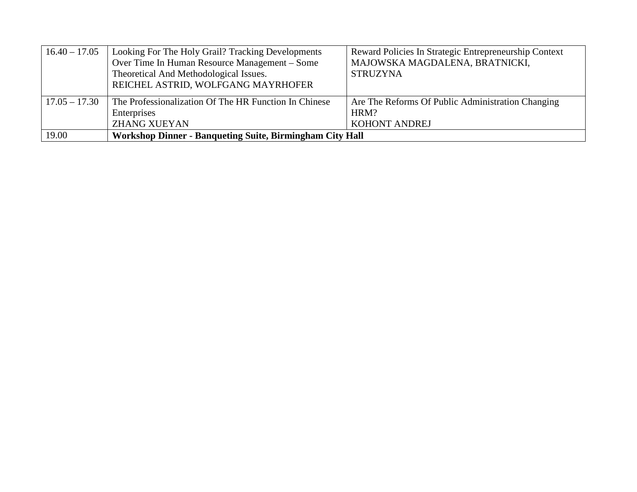| $16.40 - 17.05$ | Looking For The Holy Grail? Tracking Developments               | Reward Policies In Strategic Entrepreneurship Context |
|-----------------|-----------------------------------------------------------------|-------------------------------------------------------|
|                 | Over Time In Human Resource Management – Some                   | MAJOWSKA MAGDALENA, BRATNICKI,                        |
|                 | Theoretical And Methodological Issues.                          | <b>STRUZYNA</b>                                       |
|                 | REICHEL ASTRID, WOLFGANG MAYRHOFER                              |                                                       |
|                 |                                                                 |                                                       |
| $17.05 - 17.30$ | The Professionalization Of The HR Function In Chinese           | Are The Reforms Of Public Administration Changing     |
|                 | Enterprises                                                     | HRM?                                                  |
|                 | <b>ZHANG XUEYAN</b>                                             | <b>KOHONT ANDREJ</b>                                  |
| 19.00           | <b>Workshop Dinner - Banqueting Suite, Birmingham City Hall</b> |                                                       |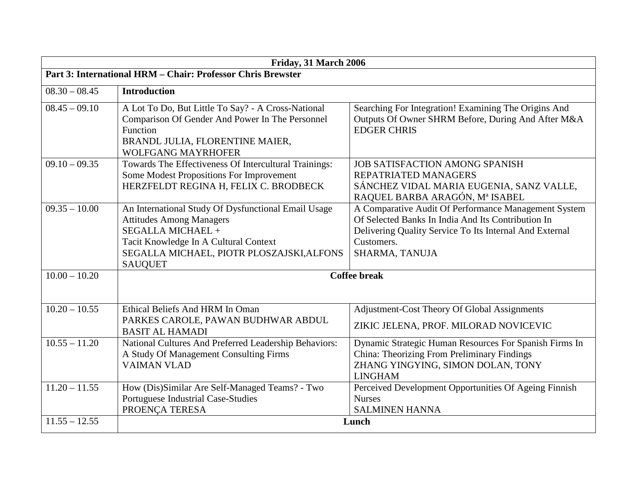| Friday, 31 March 2006                                       |                                                                                                                                                                                                                            |                                                                                                                                                                                                       |
|-------------------------------------------------------------|----------------------------------------------------------------------------------------------------------------------------------------------------------------------------------------------------------------------------|-------------------------------------------------------------------------------------------------------------------------------------------------------------------------------------------------------|
| Part 3: International HRM - Chair: Professor Chris Brewster |                                                                                                                                                                                                                            |                                                                                                                                                                                                       |
| $08.30 - 08.45$                                             | <b>Introduction</b>                                                                                                                                                                                                        |                                                                                                                                                                                                       |
| $08.45 - 09.10$                                             | A Lot To Do, But Little To Say? - A Cross-National<br>Comparison Of Gender And Power In The Personnel<br>Function<br>BRANDL JULIA, FLORENTINE MAIER,<br><b>WOLFGANG MAYRHOFER</b>                                          | Searching For Integration! Examining The Origins And<br>Outputs Of Owner SHRM Before, During And After M&A<br><b>EDGER CHRIS</b>                                                                      |
| $09.10 - 09.35$                                             | Towards The Effectiveness Of Intercultural Trainings:<br>Some Modest Propositions For Improvement<br>HERZFELDT REGINA H, FELIX C. BRODBECK                                                                                 | JOB SATISFACTION AMONG SPANISH<br>REPATRIATED MANAGERS<br>SÁNCHEZ VIDAL MARIA EUGENIA, SANZ VALLE,<br>RAQUEL BARBA ARAGÓN, Mª ISABEL                                                                  |
| $09.35 - 10.00$                                             | An International Study Of Dysfunctional Email Usage<br><b>Attitudes Among Managers</b><br><b>SEGALLA MICHAEL +</b><br>Tacit Knowledge In A Cultural Context<br>SEGALLA MICHAEL, PIOTR PLOSZAJSKI, ALFONS<br><b>SAUQUET</b> | A Comparative Audit Of Performance Management System<br>Of Selected Banks In India And Its Contribution In<br>Delivering Quality Service To Its Internal And External<br>Customers.<br>SHARMA, TANUJA |
| $\overline{10.00 - 10.20}$                                  | <b>Coffee break</b>                                                                                                                                                                                                        |                                                                                                                                                                                                       |
| $10.20 - 10.55$                                             | Ethical Beliefs And HRM In Oman<br>PARKES CAROLE, PAWAN BUDHWAR ABDUL<br><b>BASIT AL HAMADI</b>                                                                                                                            | <b>Adjustment-Cost Theory Of Global Assignments</b><br>ZIKIC JELENA, PROF. MILORAD NOVICEVIC                                                                                                          |
| $10.55 - 11.20$                                             | National Cultures And Preferred Leadership Behaviors:<br>A Study Of Management Consulting Firms<br><b>VAIMAN VLAD</b>                                                                                                      | Dynamic Strategic Human Resources For Spanish Firms In<br>China: Theorizing From Preliminary Findings<br>ZHANG YINGYING, SIMON DOLAN, TONY<br><b>LINGHAM</b>                                          |
| $11.20 - 11.55$                                             | How (Dis)Similar Are Self-Managed Teams? - Two<br>Portuguese Industrial Case-Studies<br>PROENÇA TERESA                                                                                                                     | Perceived Development Opportunities Of Ageing Finnish<br><b>Nurses</b><br><b>SALMINEN HANNA</b>                                                                                                       |
| $11.55 - 12.55$                                             |                                                                                                                                                                                                                            | Lunch                                                                                                                                                                                                 |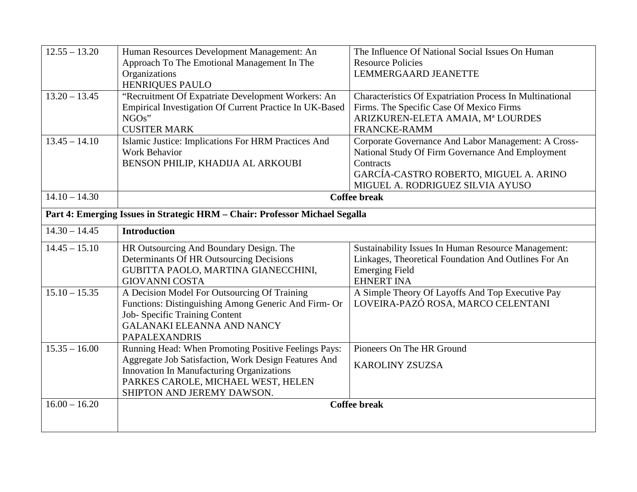| $12.55 - 13.20$ | Human Resources Development Management: An                                  | The Influence Of National Social Issues On Human           |
|-----------------|-----------------------------------------------------------------------------|------------------------------------------------------------|
|                 | Approach To The Emotional Management In The                                 | <b>Resource Policies</b>                                   |
|                 | Organizations                                                               | <b>LEMMERGAARD JEANETTE</b>                                |
|                 | <b>HENRIQUES PAULO</b>                                                      |                                                            |
| $13.20 - 13.45$ | "Recruitment Of Expatriate Development Workers: An                          | Characteristics Of Expatriation Process In Multinational   |
|                 | Empirical Investigation Of Current Practice In UK-Based                     | Firms. The Specific Case Of Mexico Firms                   |
|                 | NGOs"                                                                       | ARIZKUREN-ELETA AMAIA, Mª LOURDES                          |
|                 | <b>CUSITER MARK</b>                                                         | <b>FRANCKE-RAMM</b>                                        |
| $13.45 - 14.10$ | Islamic Justice: Implications For HRM Practices And                         | Corporate Governance And Labor Management: A Cross-        |
|                 | <b>Work Behavior</b>                                                        | National Study Of Firm Governance And Employment           |
|                 | BENSON PHILIP, KHADIJA AL ARKOUBI                                           | Contracts                                                  |
|                 |                                                                             | GARCÍA-CASTRO ROBERTO, MIGUEL A. ARINO                     |
|                 |                                                                             | MIGUEL A. RODRIGUEZ SILVIA AYUSO                           |
| $14.10 - 14.30$ | <b>Coffee break</b>                                                         |                                                            |
|                 | Part 4: Emerging Issues in Strategic HRM - Chair: Professor Michael Segalla |                                                            |
| $14.30 - 14.45$ | <b>Introduction</b>                                                         |                                                            |
| $14.45 - 15.10$ | HR Outsourcing And Boundary Design. The                                     | <b>Sustainability Issues In Human Resource Management:</b> |
|                 | Determinants Of HR Outsourcing Decisions                                    | Linkages, Theoretical Foundation And Outlines For An       |
|                 | GUBITTA PAOLO, MARTINA GIANECCHINI,                                         | <b>Emerging Field</b>                                      |
|                 | <b>GIOVANNI COSTA</b>                                                       | <b>EHNERT INA</b>                                          |
| $15.10 - 15.35$ | A Decision Model For Outsourcing Of Training                                | A Simple Theory Of Layoffs And Top Executive Pay           |
|                 | Functions: Distinguishing Among Generic And Firm- Or                        | LOVEIRA-PAZÓ ROSA, MARCO CELENTANI                         |
|                 | Job- Specific Training Content                                              |                                                            |
|                 | <b>GALANAKI ELEANNA AND NANCY</b>                                           |                                                            |
|                 | <b>PAPALEXANDRIS</b>                                                        |                                                            |
| $15.35 - 16.00$ | Running Head: When Promoting Positive Feelings Pays:                        | Pioneers On The HR Ground                                  |
|                 | Aggregate Job Satisfaction, Work Design Features And                        |                                                            |
|                 | Innovation In Manufacturing Organizations                                   | <b>KAROLINY ZSUZSA</b>                                     |
|                 | PARKES CAROLE, MICHAEL WEST, HELEN                                          |                                                            |
|                 | SHIPTON AND JEREMY DAWSON.                                                  |                                                            |
| $16.00 - 16.20$ |                                                                             | <b>Coffee break</b>                                        |
|                 |                                                                             |                                                            |
|                 |                                                                             |                                                            |